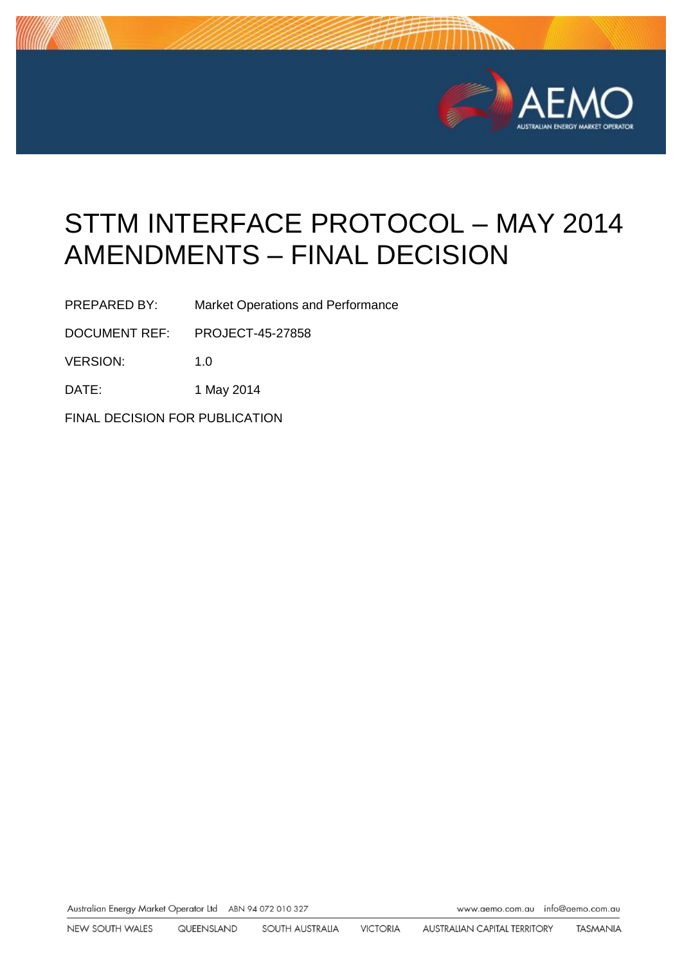

# STTM INTERFACE PROTOCOL – MAY 2014 AMENDMENTS – FINAL DECISION

PREPARED BY: Market Operations and Performance

DOCUMENT REF: PROJECT-45-27858

VERSION: 1.0

DATE: 1 May 2014

FINAL DECISION FOR PUBLICATION

Australian Energy Market Operator Ltd ABN 94 072 010 327 www.aemo.com.au inlo@oemo.com.au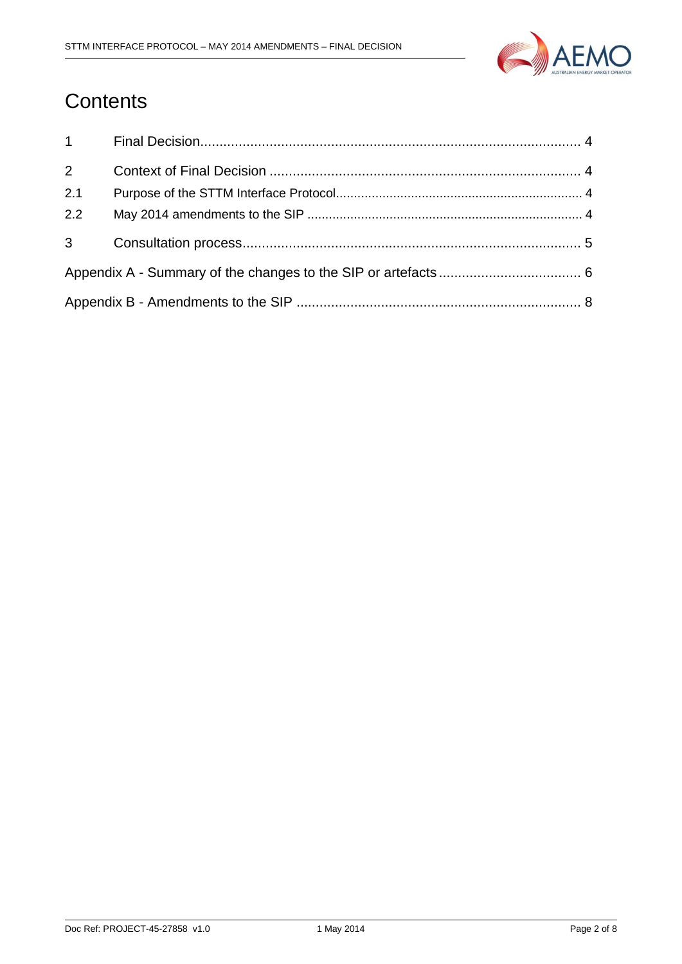

## **Contents**

| $1 \quad \blacksquare$ |  |  |
|------------------------|--|--|
| $\overline{2}$         |  |  |
| 2.1                    |  |  |
| 2.2                    |  |  |
| $3^{\circ}$            |  |  |
|                        |  |  |
|                        |  |  |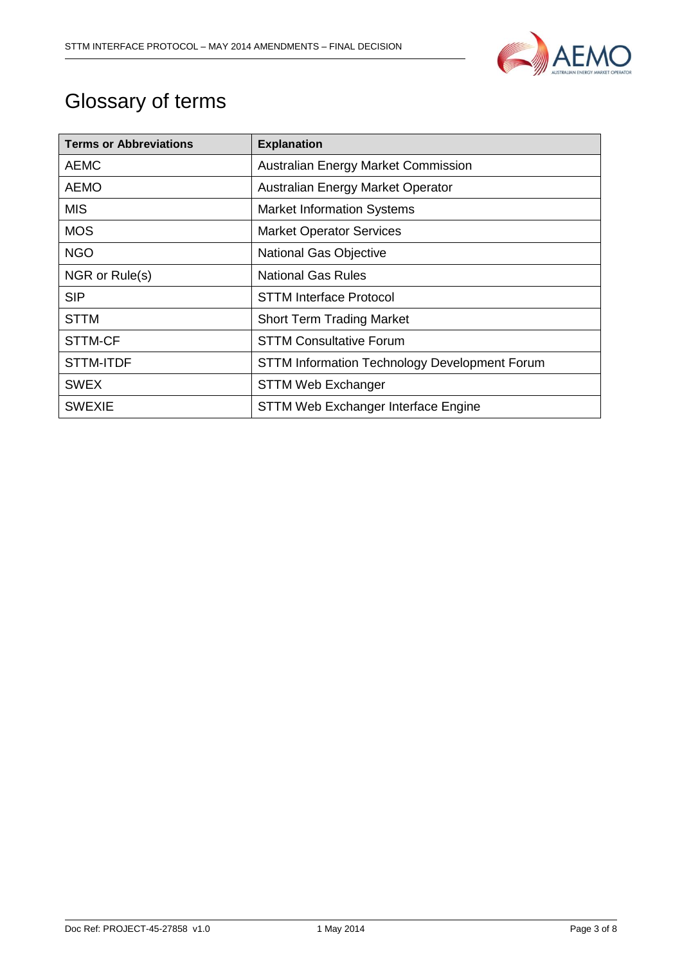

## Glossary of terms

| <b>Terms or Abbreviations</b> | <b>Explanation</b>                                   |
|-------------------------------|------------------------------------------------------|
| <b>AEMC</b>                   | Australian Energy Market Commission                  |
| <b>AEMO</b>                   | Australian Energy Market Operator                    |
| <b>MIS</b>                    | <b>Market Information Systems</b>                    |
| <b>MOS</b>                    | <b>Market Operator Services</b>                      |
| <b>NGO</b>                    | <b>National Gas Objective</b>                        |
| NGR or Rule(s)                | <b>National Gas Rules</b>                            |
| <b>SIP</b>                    | <b>STTM Interface Protocol</b>                       |
| <b>STTM</b>                   | <b>Short Term Trading Market</b>                     |
| STTM-CF                       | <b>STTM Consultative Forum</b>                       |
| <b>STTM-ITDF</b>              | <b>STTM Information Technology Development Forum</b> |
| <b>SWEX</b>                   | <b>STTM Web Exchanger</b>                            |
| <b>SWEXIE</b>                 | STTM Web Exchanger Interface Engine                  |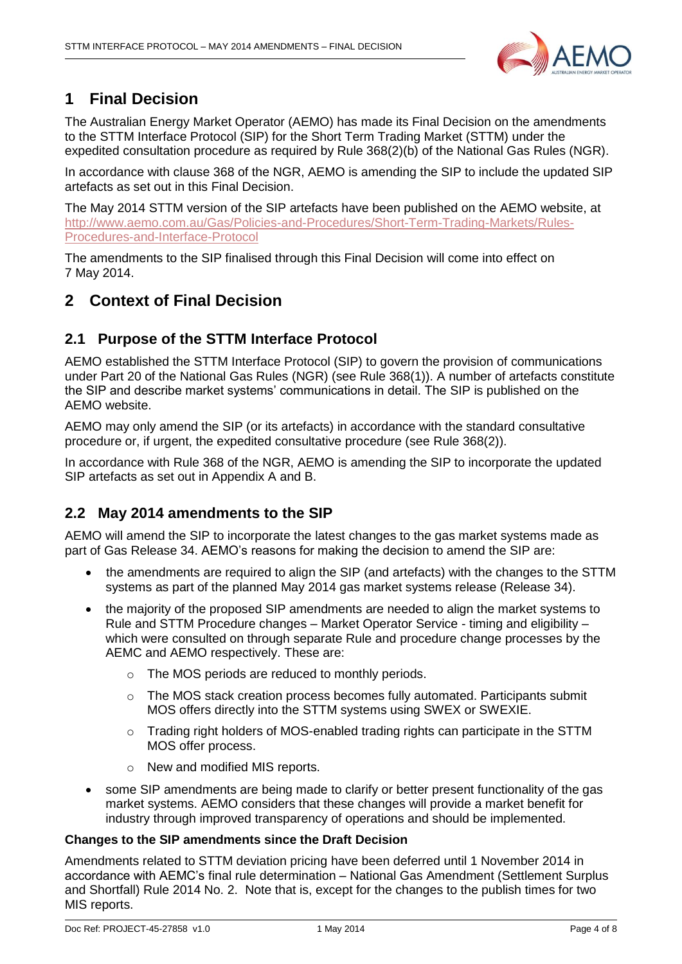

## <span id="page-3-0"></span>**1 Final Decision**

The Australian Energy Market Operator (AEMO) has made its Final Decision on the amendments to the STTM Interface Protocol (SIP) for the Short Term Trading Market (STTM) under the expedited consultation procedure as required by Rule 368(2)(b) of the National Gas Rules (NGR).

In accordance with clause 368 of the NGR, AEMO is amending the SIP to include the updated SIP artefacts as set out in this Final Decision.

The May 2014 STTM version of the SIP artefacts have been published on the AEMO website, at [http://www.aemo.com.au/Gas/Policies-and-Procedures/Short-Term-Trading-Markets/Rules-](http://www.aemo.com.au/Gas/Policies-and-Procedures/Short-Term-Trading-Markets/Rules-Procedures-and-Interface-Protocol)[Procedures-and-Interface-Protocol](http://www.aemo.com.au/Gas/Policies-and-Procedures/Short-Term-Trading-Markets/Rules-Procedures-and-Interface-Protocol)

The amendments to the SIP finalised through this Final Decision will come into effect on 7 May 2014.

### <span id="page-3-1"></span>**2 Context of Final Decision**

#### <span id="page-3-2"></span>**2.1 Purpose of the STTM Interface Protocol**

AEMO established the STTM Interface Protocol (SIP) to govern the provision of communications under Part 20 of the National Gas Rules (NGR) (see Rule 368(1)). A number of artefacts constitute the SIP and describe market systems' communications in detail. The SIP is published on the AEMO website.

AEMO may only amend the SIP (or its artefacts) in accordance with the standard consultative procedure or, if urgent, the expedited consultative procedure (see Rule 368(2)).

In accordance with Rule 368 of the NGR, AEMO is amending the SIP to incorporate the updated SIP artefacts as set out in Appendix A and B.

#### <span id="page-3-3"></span>**2.2 May 2014 amendments to the SIP**

AEMO will amend the SIP to incorporate the latest changes to the gas market systems made as part of Gas Release 34. AEMO's reasons for making the decision to amend the SIP are:

- the amendments are required to align the SIP (and artefacts) with the changes to the STTM systems as part of the planned May 2014 gas market systems release (Release 34).
- the majority of the proposed SIP amendments are needed to align the market systems to Rule and STTM Procedure changes – Market Operator Service - timing and eligibility – which were consulted on through separate Rule and procedure change processes by the AEMC and AEMO respectively. These are:
	- o The MOS periods are reduced to monthly periods.
	- o The MOS stack creation process becomes fully automated. Participants submit MOS offers directly into the STTM systems using SWEX or SWEXIE.
	- o Trading right holders of MOS-enabled trading rights can participate in the STTM MOS offer process.
	- o New and modified MIS reports.
- some SIP amendments are being made to clarify or better present functionality of the gas market systems. AEMO considers that these changes will provide a market benefit for industry through improved transparency of operations and should be implemented.

#### **Changes to the SIP amendments since the Draft Decision**

Amendments related to STTM deviation pricing have been deferred until 1 November 2014 in accordance with AEMC's final rule determination – National Gas Amendment (Settlement Surplus and Shortfall) Rule 2014 No. 2. Note that is, except for the changes to the publish times for two MIS reports.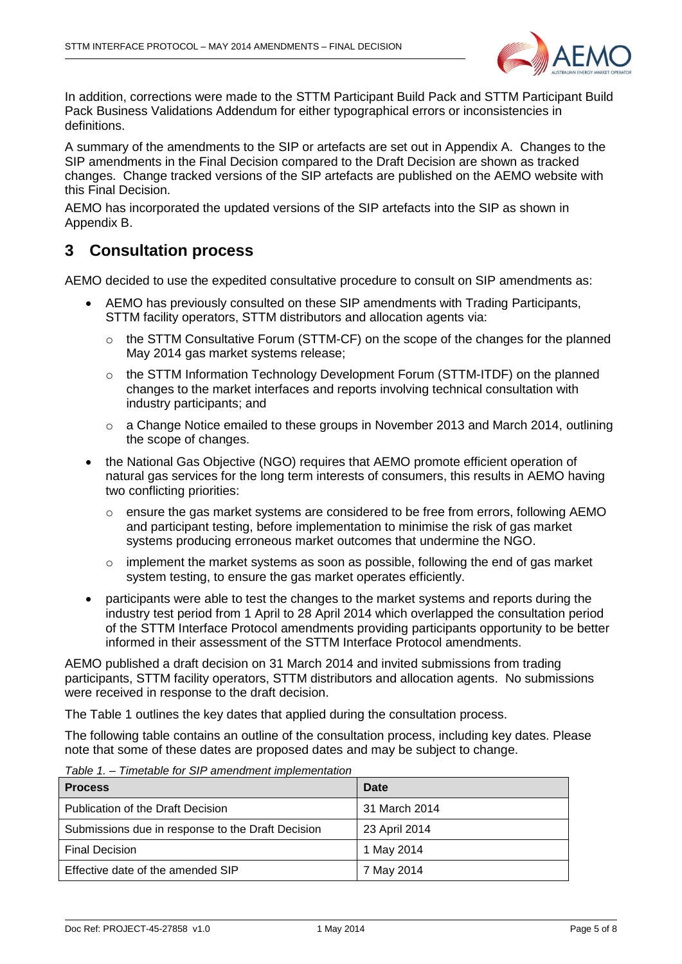

In addition, corrections were made to the STTM Participant Build Pack and STTM Participant Build Pack Business Validations Addendum for either typographical errors or inconsistencies in definitions.

A summary of the amendments to the SIP or artefacts are set out in Appendix A. Changes to the SIP amendments in the Final Decision compared to the Draft Decision are shown as tracked changes. Change tracked versions of the SIP artefacts are published on the AEMO website with this Final Decision.

AEMO has incorporated the updated versions of the SIP artefacts into the SIP as shown in Appendix B.

### <span id="page-4-0"></span>**3 Consultation process**

AEMO decided to use the expedited consultative procedure to consult on SIP amendments as:

- AEMO has previously consulted on these SIP amendments with Trading Participants, STTM facility operators, STTM distributors and allocation agents via:
	- o the STTM Consultative Forum (STTM-CF) on the scope of the changes for the planned May 2014 gas market systems release;
	- $\circ$  the STTM Information Technology Development Forum (STTM-ITDF) on the planned changes to the market interfaces and reports involving technical consultation with industry participants; and
	- $\circ$  a Change Notice emailed to these groups in November 2013 and March 2014, outlining the scope of changes.
- the National Gas Objective (NGO) requires that AEMO promote efficient operation of natural gas services for the long term interests of consumers, this results in AEMO having two conflicting priorities:
	- o ensure the gas market systems are considered to be free from errors, following AEMO and participant testing, before implementation to minimise the risk of gas market systems producing erroneous market outcomes that undermine the NGO.
	- $\circ$  implement the market systems as soon as possible, following the end of gas market system testing, to ensure the gas market operates efficiently.
- participants were able to test the changes to the market systems and reports during the industry test period from 1 April to 28 April 2014 which overlapped the consultation period of the STTM Interface Protocol amendments providing participants opportunity to be better informed in their assessment of the STTM Interface Protocol amendments.

AEMO published a draft decision on 31 March 2014 and invited submissions from trading participants, STTM facility operators, STTM distributors and allocation agents. No submissions were received in response to the draft decision.

The Table 1 outlines the key dates that applied during the consultation process.

The following table contains an outline of the consultation process, including key dates. Please note that some of these dates are proposed dates and may be subject to change.

| <b>Process</b>                                    | <b>Date</b>   |
|---------------------------------------------------|---------------|
| Publication of the Draft Decision                 | 31 March 2014 |
| Submissions due in response to the Draft Decision | 23 April 2014 |
| <b>Final Decision</b>                             | 1 May 2014    |
| Effective date of the amended SIP                 | 7 May 2014    |

*Table 1. – Timetable for SIP amendment implementation*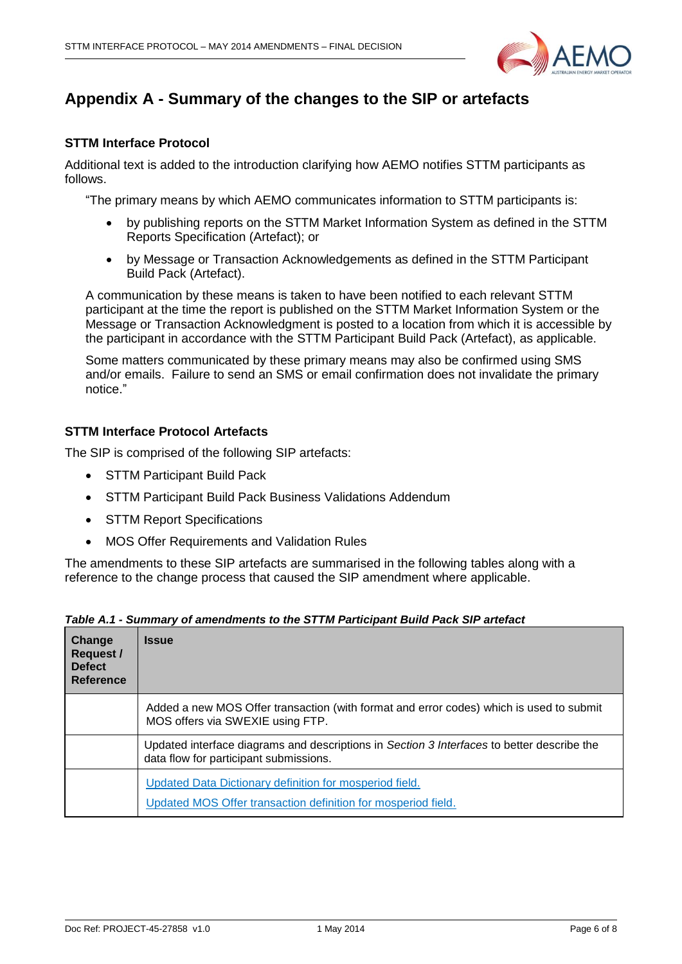

## <span id="page-5-0"></span>**Appendix A - Summary of the changes to the SIP or artefacts**

#### **STTM Interface Protocol**

Additional text is added to the introduction clarifying how AEMO notifies STTM participants as follows.

"The primary means by which AEMO communicates information to STTM participants is:

- by publishing reports on the STTM Market Information System as defined in the STTM Reports Specification (Artefact); or
- by Message or Transaction Acknowledgements as defined in the STTM Participant Build Pack (Artefact).

A communication by these means is taken to have been notified to each relevant STTM participant at the time the report is published on the STTM Market Information System or the Message or Transaction Acknowledgment is posted to a location from which it is accessible by the participant in accordance with the STTM Participant Build Pack (Artefact), as applicable.

Some matters communicated by these primary means may also be confirmed using SMS and/or emails. Failure to send an SMS or email confirmation does not invalidate the primary notice."

#### **STTM Interface Protocol Artefacts**

The SIP is comprised of the following SIP artefacts:

- STTM Participant Build Pack
- STTM Participant Build Pack Business Validations Addendum
- STTM Report Specifications
- MOS Offer Requirements and Validation Rules

The amendments to these SIP artefacts are summarised in the following tables along with a reference to the change process that caused the SIP amendment where applicable.

| Change<br><b>Request /</b><br><b>Defect</b><br>Reference | <b>Issue</b>                                                                                                                         |
|----------------------------------------------------------|--------------------------------------------------------------------------------------------------------------------------------------|
|                                                          | Added a new MOS Offer transaction (with format and error codes) which is used to submit<br>MOS offers via SWEXIE using FTP.          |
|                                                          | Updated interface diagrams and descriptions in Section 3 Interfaces to better describe the<br>data flow for participant submissions. |
|                                                          | Updated Data Dictionary definition for mosperiod field.<br>Updated MOS Offer transaction definition for mosperiod field.             |

*Table A.1 - Summary of amendments to the STTM Participant Build Pack SIP artefact*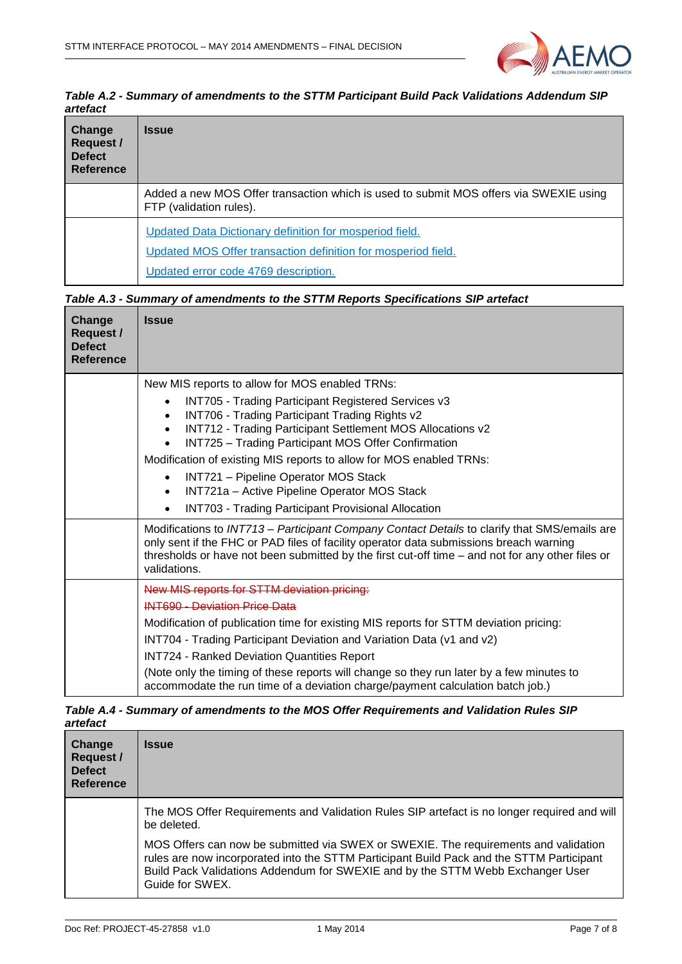

*Table A.2 - Summary of amendments to the STTM Participant Build Pack Validations Addendum SIP artefact*

| Change<br><b>Request /</b><br><b>Defect</b><br><b>Reference</b> | <b>Issue</b>                                                                                                                                                     |
|-----------------------------------------------------------------|------------------------------------------------------------------------------------------------------------------------------------------------------------------|
|                                                                 | Added a new MOS Offer transaction which is used to submit MOS offers via SWEXIE using<br>FTP (validation rules).                                                 |
|                                                                 | Updated Data Dictionary definition for mosperiod field.<br>Updated MOS Offer transaction definition for mosperiod field.<br>Updated error code 4769 description. |

|  | Table A.3 - Summary of amendments to the STTM Reports Specifications SIP artefact |
|--|-----------------------------------------------------------------------------------|
|  |                                                                                   |

| Change<br><b>Request /</b><br><b>Defect</b><br><b>Reference</b> | <b>Issue</b>                                                                                                                                                                                                                                                                                                                                                                                                                                                                                                                               |
|-----------------------------------------------------------------|--------------------------------------------------------------------------------------------------------------------------------------------------------------------------------------------------------------------------------------------------------------------------------------------------------------------------------------------------------------------------------------------------------------------------------------------------------------------------------------------------------------------------------------------|
|                                                                 | New MIS reports to allow for MOS enabled TRNs:<br><b>INT705 - Trading Participant Registered Services v3</b><br>INT706 - Trading Participant Trading Rights v2<br>$\bullet$<br>INT712 - Trading Participant Settlement MOS Allocations v2<br>INT725 - Trading Participant MOS Offer Confirmation<br>Modification of existing MIS reports to allow for MOS enabled TRNs:<br>INT721 - Pipeline Operator MOS Stack<br>INT721a - Active Pipeline Operator MOS Stack<br>$\bullet$<br><b>INT703 - Trading Participant Provisional Allocation</b> |
|                                                                 | Modifications to INT713 - Participant Company Contact Details to clarify that SMS/emails are<br>only sent if the FHC or PAD files of facility operator data submissions breach warning<br>thresholds or have not been submitted by the first cut-off time - and not for any other files or<br>validations.                                                                                                                                                                                                                                 |
|                                                                 | New MIS reports for STTM deviation pricing:<br><b>INT690 - Deviation Price Data</b><br>Modification of publication time for existing MIS reports for STTM deviation pricing:<br>INT704 - Trading Participant Deviation and Variation Data (v1 and v2)<br><b>INT724 - Ranked Deviation Quantities Report</b><br>(Note only the timing of these reports will change so they run later by a few minutes to<br>accommodate the run time of a deviation charge/payment calculation batch job.)                                                  |

#### *Table A.4 - Summary of amendments to the MOS Offer Requirements and Validation Rules SIP artefact*

| Change<br>Request /<br><b>Defect</b><br><b>Reference</b> | <b>Issue</b>                                                                                                                                                                                                                                                                         |
|----------------------------------------------------------|--------------------------------------------------------------------------------------------------------------------------------------------------------------------------------------------------------------------------------------------------------------------------------------|
|                                                          | The MOS Offer Requirements and Validation Rules SIP artefact is no longer required and will<br>be deleted.                                                                                                                                                                           |
|                                                          | MOS Offers can now be submitted via SWEX or SWEXIE. The requirements and validation<br>rules are now incorporated into the STTM Participant Build Pack and the STTM Participant<br>Build Pack Validations Addendum for SWEXIE and by the STTM Webb Exchanger User<br>Guide for SWEX. |